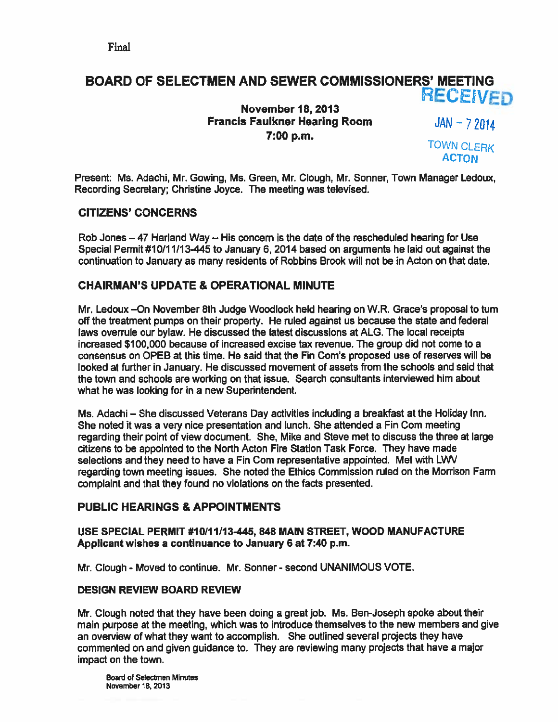## BOARD OF SELECTMEN AND SEWER COMMISSIONERS' MEETING **RECEIVED**

November 18, 2013 **Francis Faulkner Hearing Room 7:00 p.m.** TOWN CLERK

 $JAN - 72014$ 

**ACTON** 

Present: Ms. Adachi, Mr. Gowing, Ms. Green, Mr. Clough, Mr. Sonner, Town Manager Ledoux, Recording Secretary; Christine Joyce. The meeting was televised.

### CITIZENS' CONCERNS

Rob Jones  $-47$  Harland Way  $-$  His concern is the date of the rescheduled hearing for Use Special Permit #10/11/13-445 to January 6, 2014 based on arguments he laid out against the continuation to January as many residents of Robbins Brook will not be in Acton on that date.

### CHAIRMAN'S UPDATE & OPERATIONAL MINUTE

Mr. Ledoux —On November 8th Judge Woodlock held hearing on W.R. Grace's proposal to turn off the treatment pumps on their property. He ruled against us because the state and federal laws overrule our bylaw. He discussed the latest discussions at ALG. The local receipts increased \$100,000 because of increased excise tax revenue. The group did not come to <sup>a</sup> consensus on OPEB at this time. He said that the Fin Com's proposed use of reserves will be looked at further in January. He discussed movement of assets from the schools and said that the town and schools are working on that issue. Search consultants interviewed him about what he was looking for in <sup>a</sup> new Superintendent.

Ms. Adachi — She discussed Veterans Day activities including <sup>a</sup> breakfast at the Holiday Inn. She noted it was a very nice presentation and lunch. She attended a Fin Com meeting regarding their point of view document. She, Mike and Steve met to discuss the three at large citizens to be appointed to the North Acton Fire Station Task Force. They have made selections and they need to have <sup>a</sup> Fin Com representative appointed. Met with LWV regarding town meeting issues. She noted the Ethics Commission ruled on the Morrison Farm complaint and that they found no violations on the facts presented.

### PUBLIC HEARINGS & APPOINTMENTS

### USE SPECIAL PERMIT #10111113445, 848 MAIN STREET, WOOD MANUFACTURE Applicant wishes <sup>a</sup> continuance to January 6 at 7:40 p.m.

Mr. Clough - Moved to continue. Mr. Sonner - second UNANIMOUS VOTE.

### DESIGN REVIEW BOARD REVIEW

Mr. Clough noted that they have been doing <sup>a</sup> grea<sup>t</sup> job. Ms. Ben-Joseph spoke about their main purpose at the meeting, which was to introduce themselves to the new members and give an overview of what they want to accomplish. She outlined several projects they have commented on and given guidance to. They are reviewing many projects that have <sup>a</sup> major impact on the town.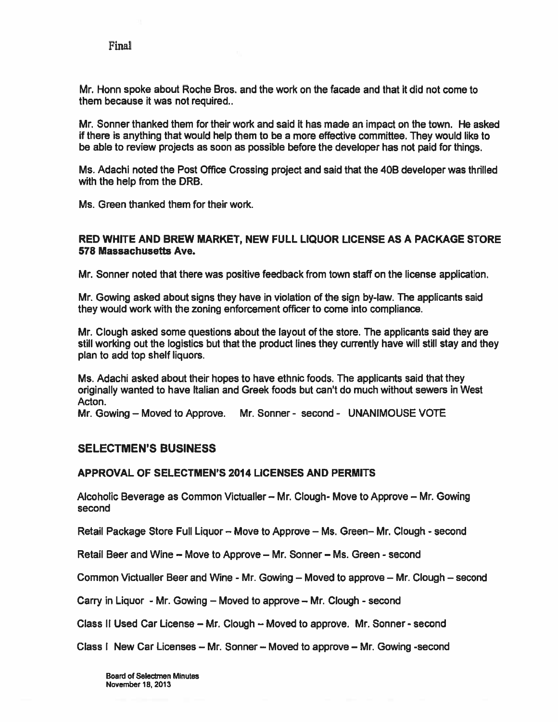Mr. Honn spoke about Roche Bros. and the work on the facade and that it did not come to them because it was not required..

Mr. Sonner thanked them for their work and said it has made an impact on the town. He asked if there is anything that would help them to be <sup>a</sup> more effective committee. They would like to be able to review projects as soon as possible before the developer has not paid for things.

Ms. Adachi noted the Post Office Crossing project and said that the 40B developer was thrilled with the help from the DRB.

Ms. Green thanked them for their work.

#### RED WHITE AND BREW MARKET, NEW FULL LIQUOR LICENSE AS A PACKAGE STORE 578 Massachusetts Ave.

Mr. Sonner noted that there was positive feedback from town staff on the license application,

Mr. Gowing asked about signs they have in violation of the sign by-law. The applicants said they would work with the zoning enforcement officer to come into compliance.

Mr. Clough asked some questions about the layout of the store. The applicants said they are still working out the logistics but that the product lines they currently have will still stay and they plan to add top shelf liquors.

Ms. Adachi asked about their hopes to have ethnic foods. The applicants said that they originally wanted to have Italian and Greek foods but can't do much without sewers in West Acton.

Mr. Gowing — Moved to Approve. Mr. Sonner - second - UNANIMOUSE VOTE

### SELECTMEN'S BUSINESS

#### APPROVAL OF SELECTMEN'S 2014 LICENSES AND PERMITS

Alcoholic Beverage as Common Victualler — Mr. Clough- Move to Approve — Mr. Gowing second

Retail Package Store Full Liquor - Move to Approve - Ms. Green- Mr. Clough - second

Retail Beer and Wine — Move to Approve — Mr. Sonner — Ms. Green -second

Common Victualler Beer and Wine - Mr. Gowing - Moved to approve - Mr. Clough - second

Carry in Liquor - Mr. Gowing  $-$  Moved to approve  $-$  Mr. Clough - second

Class II Used Car License — Mr. Clough — Moved to approve. Mr. Sonner -second

Class I New Car Licenses — Mr. Sonner — Moved to approve — Mr. Gowing -second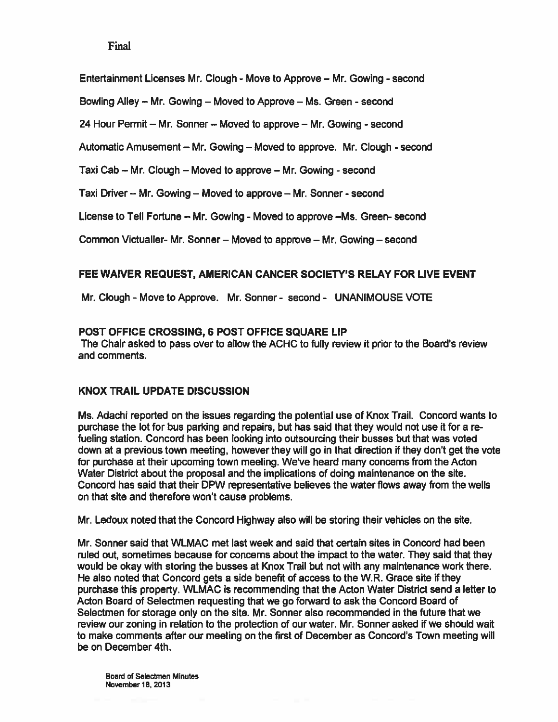Entertainment Licenses Mr. Clough - Move to Approve - Mr. Gowing - second

Bowling Alley – Mr. Gowing – Moved to Approve – Ms. Green - second

24 Hour Permit  $-$  Mr. Sonner  $-$  Moved to approve  $-$  Mr. Gowing  $-$  second

Automatic Amusement – Mr. Gowing – Moved to approve. Mr. Clough - second

Taxi Cab – Mr. Clough – Moved to approve – Mr. Gowing - second

Taxi Driver – Mr. Gowing – Moved to approve – Mr. Sonner - second

License to Tell Fortune — Mr. Gowing - Moved to approve —Ms. Green- second

Common Victualler- Mr. Sonner — Moved to approve — Mr. Gowing — second

### FEE WAIVER REQUEST, AMERICAN CANCER SOCIETY'S RELAY FOR LIVE EVENT

Mr. Clough - Move to Approve. Mr. Sonner - second - UNANIMOUSE VOTE

### POST OFFICE CROSSING, 6 POST OFFICE SQUARE LIP

The Chair asked to pass over to allow the ACHC to fully review it prior to the Board's review and comments.

### KNOX TRAIL UPDATE DISCUSSION

Ms. Adachi reported on the issues regarding the potential use of Knox Trail. Concord wants to purchase the lot for bus parking and repairs, but has said that they would not use it for <sup>a</sup> re fueling station. Concord has been looking into outsourcing their busses but that was voted down at <sup>a</sup> previous town meeting, however they will go in that direction if they don't ge<sup>t</sup> the vote for purchase at their upcoming town meeting. We've heard many concerns from the Acton Water District about the proposal and the implications of doing maintenance on the site. Concord has said that their DPW representative believes the water flows away from the wells on that site and therefore won't cause problems.

Mr. Ledoux noted that the Concord Highway also will be storing their vehicles on the site.

Mr. Sonner said that WLMAC met last week and said that certain sites in Concord had been ruled out, sometimes because for concerns about the impact to the water. They said that they would be okay with storing the busses at Knox Trail but not with any maintenance work there. He also noted that Concord gets <sup>a</sup> side benefit of access to the W.R. Grace site if they purchase this property. WLMAC is recommending that the Acton Water District send <sup>a</sup> letter to Acton Board of Selectmen requesting that we go forward to ask the Concord Board of Selectmen for storage only on the site. Mr. Sonner also recommended in the future that we review our zoning in relation to the protection of our water. Mr. Sonner asked if we should wait to make comments after our meeting on the first of December as Concord's Town meeting will be on December 4th.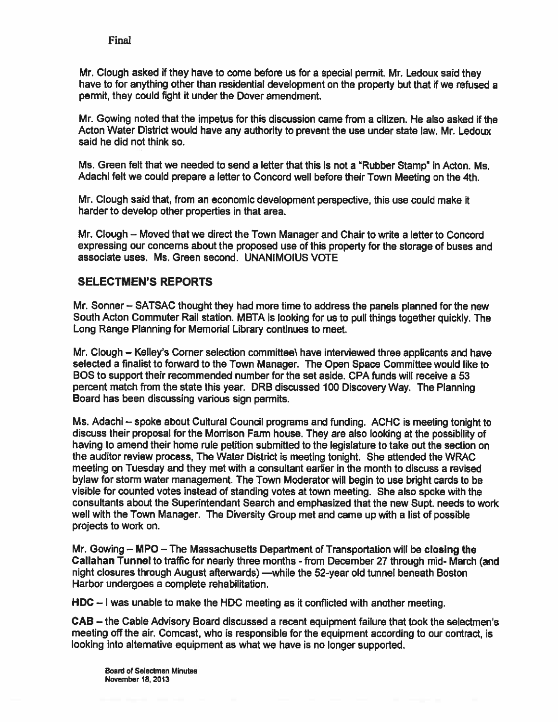Mr. Clough asked if they have to come before us for <sup>a</sup> special permit. Mr. Ledoux said they have to for anything other than residential development on the property but that if we refused <sup>a</sup> permit, they could fight it under the Dover amendment.

Mr. Sowing noted that the impetus for this discussion came from <sup>a</sup> citizen. He also asked if the Acton Water District would have any authority to preven<sup>t</sup> the use under state law. Mr. Ledoux said he did not think so.

Ms. Green felt that we needed to send <sup>a</sup> letter that this is not <sup>a</sup> "Rubber Stamp" in Acton. Ms. Adachi felt we could prepare <sup>a</sup> letter to Concord well before their Town Meeting on the 4th.

Mr. Clough said that, from an economic development perspective, this use could make ft harder to develop other properties in that area.

Mr. Clough – Moved that we direct the Town Manager and Chair to write a letter to Concord expressing our concerns about the proposed use of this property for the storage of buses and associate uses. Ms. Green second. UNANIMOIUS VOTE

### SELECTMEN'S REPORTS

Mr. Sonner — SATSAC thought they had more time to address the panels <sup>p</sup>lanned for the new South Acton Commuter Rail station. MBTA is looking for us to pull things together quickly. The Long Range Planning for Memorial Library continues to meet.

Mr. Clough – Kelley's Corner selection committee\ have interviewed three applicants and have selected <sup>a</sup> finalist to forward to the Town Manager. The Open Space Committee would like to BOS to suppor<sup>t</sup> their recommended number for the set aside. CPA funds will receive <sup>a</sup> 53 percen<sup>t</sup> match from the state this year. DRB discussed 100 Discovery Way. The Planning Board has been discussing various sign permits.

Ms. Adachi — spoke about Cultural Council programs and funding. ACHC is meeting tonight to discuss their proposal for the Morrison Farm house. They are also looking at the possibility of having to amend their home rule petition submitted to the legislature to take out the section on the auditor review process, The Water District is meeting tonight. She attended the WRAC meeting on Tuesday and they met with <sup>a</sup> consultant earlier in the month to discuss <sup>a</sup> revised bylaw for storm water management. The Town Moderator will begin to use bright cards to be visible for counted votes instead of standing votes at town meeting. She also spoke with the consultants about the Superintendant Search and emphasized that the new Supt. needs to work well with the Town Manager. The Diversity Group met and came up with <sup>a</sup> list of possible projects to work on.

Mr. Gowing — MPO — The Massachusetts Department of Transportation will be closing the Callahan Tunnel to traffic for nearly three months - from December 27 through mid- March (and night closures through August afterwards) —while the 52-year old tunnel beneath Boston Harbor undergoes <sup>a</sup> complete rehabilitation.

HDC — <sup>I</sup> was unable to make the MDC meeting as it conflicted with another meeting.

CAB — the Cable Advisory Board discussed <sup>a</sup> recent equipment failure that took the selectmen's meeting off the air. Comcast, who is responsible for the equipment according to our contract, is looking into altemative equipment as what we have is no longer supported.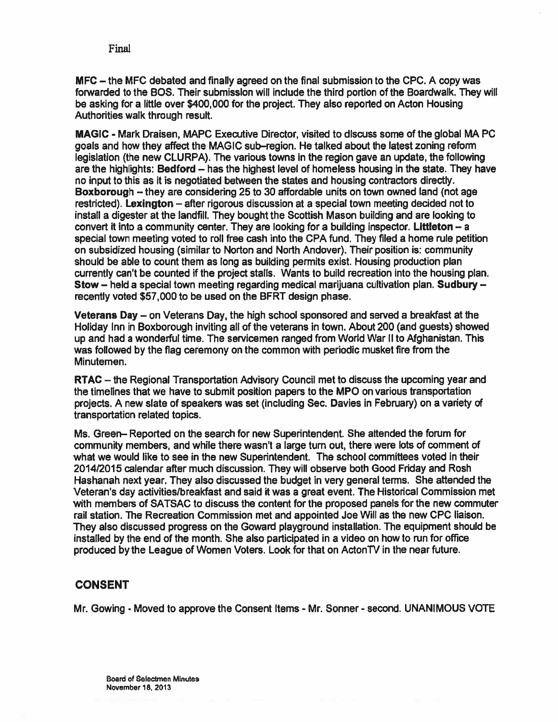MFC — the MFC debated and finally agreed on the final submission to the CPC. A copy was forwarded to the BOS. Their submission will include the third portion of the Boardwalk. They will be asking for a little over \$400,000 for the project. They also reported on Acton Housing Authorities walk through result.

MAGIC - Mark Draisen, MAPC Executive Director, visited to discuss some of the global MA PC goals and how they affect the MAGIC sub—region. He talked about the latest zoning reform legislation (the new CLURPA). The various towns in the region gave an update, the following are the highlights; Bedford — has the highest level of homeless housing in the state. They have no input to this as it is negotiated between the states and housing contractors directly. Boxborough — they are considering 25 to 30 affordable units on town owned land (not age restricted). Lexington — after rigorous discussion at <sup>a</sup> special town meeting decided not to install <sup>a</sup> digester at the landfill. They bought the Scottish Mason building and are looking to convert it into <sup>a</sup> community center. They are looking for <sup>a</sup> building inspector, Liftleton — <sup>a</sup> special town meeting voted to roll free cash into the CPA fund. They filed <sup>a</sup> home rule petition on subsidized housing (similar to Norton and North Andover). Their position is: community should be able to count them as long as building permits exist. Housing production plan currently can't be counted if the project stalls. Wants to build recreation into the housing plan. Stow — held <sup>a</sup> special town meeting regarding medical marijuana cultivation plan. Sudbury recently voted \$57,000 to be used on the BFRT design phase.

Veterans Day — on Veterans Day, the high school sponsored and served <sup>a</sup> breakfast at the Holiday Inn in Boxborough inviting all of the veterans in town. About 200 (and guests) showed up and had <sup>a</sup> wonderful time. The servicemen ranged from World War II to Afghanistan. This was followed by the flag ceremony on the common with periodic musket fire from the Minutemen.

RTAC — the Regional Transportation Advisory Council met to discuss the upcoming year and the timelines that we have to submit position papers to the MPO on various transportation projects. A new slate of speakers was set (including Sec. Davies in February) on <sup>a</sup> variety of transportation related topics.

Ms. Green— Reported on the search for new Superintendent. She attended the forum for community members, and while there wasn't <sup>a</sup> large turn out, there were lots of comment of what we would like to see in the new Superintendent. The school committees voted in their 2014/2015 calendar after much discussion. They will observe both Good Friday and Rosh Hashanah next year. They also discussed the budget in very general terms. She attended the Veteran's day activities/breakfast and said it was <sup>a</sup> grea<sup>t</sup> event. The Historical Commission met with members of SATSAC to discuss the content for the proposed panels for the new commuter rail station. The Recreation Commission met and appointed Joe Will as the new CPC liaison. They also discussed progress on the Goward playground installation. The equipment should be installed by the end of the month. She also participated in <sup>a</sup> video on how to run for office produced by the League of Women Voters. Look for that on ActonTV in the near future.

### CONSENT

Mr. Gowing - Moved to approve the Consent Items - Mr. Sonner - second. UNANIMOUS VOTE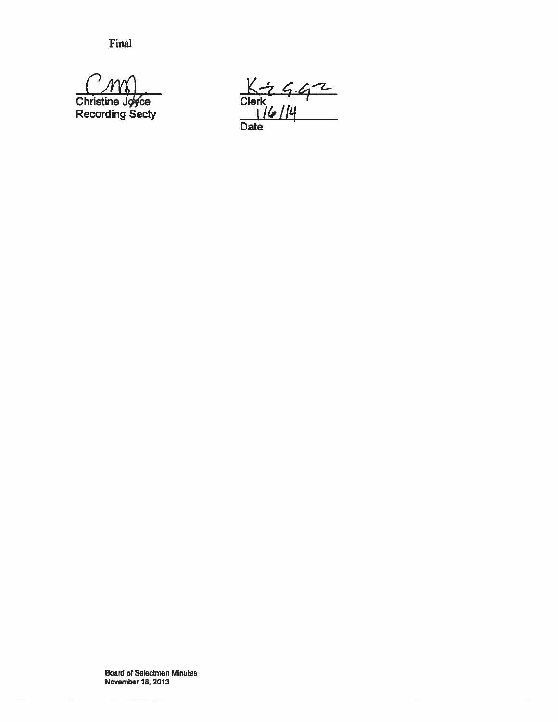$CMN$ Christine Jo⁄rce Recording Secty

 $K - 9.42$ i 16 | 14 **Date**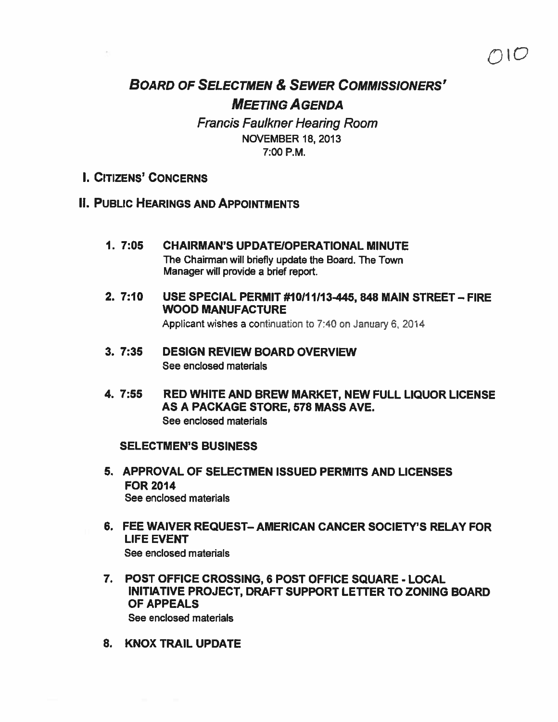## BOARD OF SELECTMEN & SEWER COMMISSIONERS' MEETING AGENDA

 $7$ I $\sigma$ 

Francis Faulkner Hearing Room NOVEMBER 18, 2013 7:00 P.M.

- I. CITIZENS' CONCERNS
- II. PUBLIC HEARINGS AND APPOINTMENTS
	- 1. 7:05 CHAIRMAN'S UPDATEIOPERATIONAL MINUTE The Chairman will briefly update the Board. The Town Manager will provide <sup>a</sup> brief report.
	- 2. 7:10 USE SPECIAL PERMIT #10111113-445, 848 MAIN STREET—FIRE WOOD MANUFACTURE

Applicant wishes <sup>a</sup> continuation to 7:40 on January 6, 2014

- 3. 7:35 DESIGN REVIEW BOARD OVERVIEW See enclosed materials
- 4. 7:55 RED WHITE AND BREW MARKET, NEW FULL LIQUOR LICENSE AS A PACKAGE STORE, 578 MASS AVE.

See enclosed materials

### SELECTMEN'S BUSINESS

- 5. APPROVAL OF SELECTMEN ISSUED PERMITS AND LICENSES FOR 2014 See enclosed materials
- 6. FEE WAIVER REQUEST— AMERICAN CANCER SOCIETY'S RELAY FOR LIFE EVENT See enclosed materials
- 7. POST OFFICE CROSSING, 6 POST OFFICE SQUARE LOCAL INITIATIVE PROJECT, DRAFT SUPPORT LETTER TO ZONING BOARD OF APPEALS See enclosed materials
- 8. KNOX TRAIL UPDATE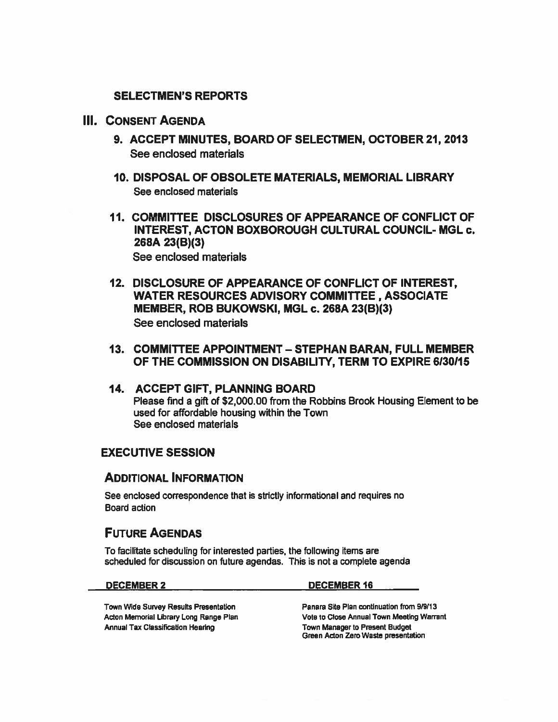### SELECTMEN'S REPORTS

### III. CONSENT AGENDA

- 9. ACCEPT MINUTES, BOARD OF SELECTMEN, OCTOBER 21, 2013 See enclosed materials
- 10. DISPOSAL OF OBSOLETE MATERIALS, MEMORIAL LIBRARY See enclosed materials
- 11. COMMITTEE DISCLOSURES OF APPEARANCE OF CONFLICT OF INTEREST, ACTON BOXBOROUGH CULTURAL COUNCIL- MGL c. 268A 23(B)(3) See enclosed materials
- 12. DISCLOSURE OF APPEARANCE OF CONFLICT OF INTEREST, WATER RESOURCES ADVISORY COMMITTEE, ASSOCIATE MEMBER, ROB BUKOWSKI, MGL c. 268A 23(B)(3) See enclosed materials
- 13. COMMITtEE APPOINTMENT STEPHAN BARAN, FULL MEMBER OF THE COMMISSION ON DISABILITY, TERM TO EXPIRE 6130115
- 14. ACCEPT GIFT, PLANNING BOARD Please find <sup>a</sup> gift of \$2,000.00 from the Robbins Brook Housing Element to be used for affordable housing within the Town See enclosed materials

### EXECUTIVE SESSION

### ADDITIONAL INFORMATION

See enclosed correspondence that is strictly informational and requires no Board action

### FUTURE AGENDAS

To facilitate scheduling for interested parties, the following items are scheduled for discussion on future agendas. This is not <sup>a</sup> complete agenda

| <b>DECEMBER 2</b> |
|-------------------|
|-------------------|

#### DECEMBER 16

Town Wide Survey Results Presentation Panara Site Plan continuation from 9/9/13 Acton Memorial Library Long Range Plan Vote to Close Annual Town Meeting Warrant<br>Annual Tax Classification Hearing View Vote Town Manager to Present Budget Annual Tax Classification Hearing

Green Acton Zero Waste presentation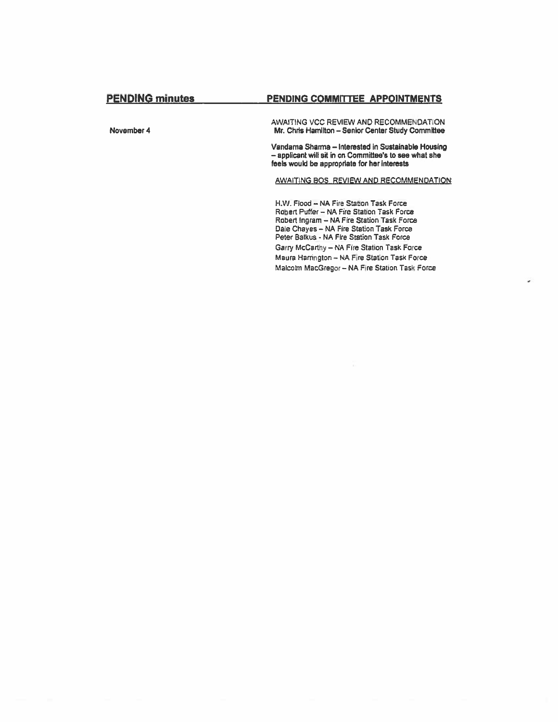#### PENDING COMMITTEE APPOINTMENTS

November 4

AWAITING VCC REVIEW AND RECOMMENDATION Mr. Chris Hamilton - Senior Center Study Committee

Vandama Sharma - Interested in Sustainable Housing - applicant will sit in on Committee's to see what she feels would be appropriate for her interests

AWAITING BOS, REVIEW AND RECOMMENDATION

H.W. Flood - NA Fire Station Task Force Robert Puffer - NA Fire Station Task Force Robert Ingram - NA Fire Station Task Force Dale Chayes - NA Fire Station Task Force Peter Batkus - NA Fire Station Task Force Garry McCarthy - NA Fire Station Task Force Maura Harrington - NA Fire Station Task Force Malcolm MacGregor - NA Fire Station Task Force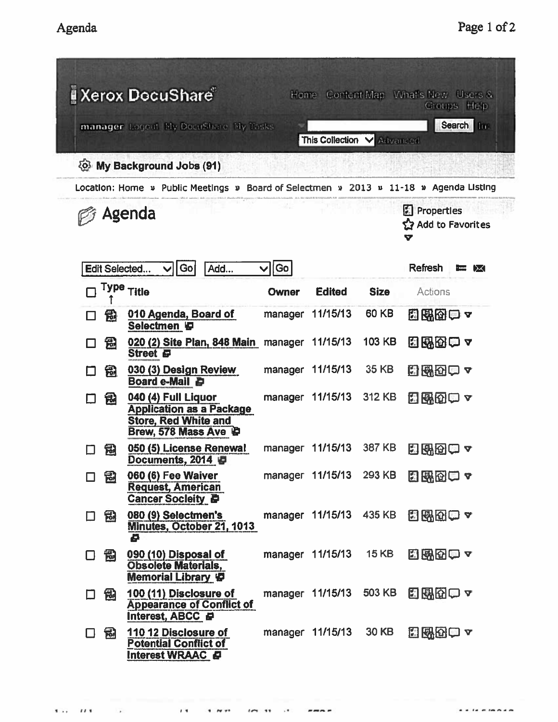|        |   | <b>Kerox DocuShare</b>                                                                                        | Home    |                            |              | Content Map What's New Users &<br>Groups Help |
|--------|---|---------------------------------------------------------------------------------------------------------------|---------|----------------------------|--------------|-----------------------------------------------|
|        |   | manager Logout My DocuShare My Yasks                                                                          |         | This Collection V Advanced |              | Search Inc.                                   |
|        |   | ිල My Background Jobs (91)                                                                                    |         |                            |              |                                               |
|        |   | Location: Home » Public Meetings » Board of Selectmen » 2013 » 11-18 » Agenda Listing                         |         |                            |              |                                               |
| Agenda |   |                                                                                                               |         |                            |              | Properties<br>SZ Add to Favorites<br>V        |
|        |   | Go <br>Add<br>Edit Selected<br>$\blacktriangledown$                                                           | Go      |                            |              | <b>Refresh</b><br>e IX                        |
| П      |   | Type Title                                                                                                    | Owner   | <b>Edited</b>              | <b>Size</b>  | Actions                                       |
| □      | 勖 | 010 Agenda, Board of<br>Selectmen ID                                                                          |         | manager 11/15/13           | 60 KB        | 图图图白~                                         |
| l I    | 园 | 020 (2) Site Plan, 848 Main manager 11/15/13<br><b>Street</b> 日                                               |         |                            | 103 KB       | 田邸田申ャ                                         |
| $\Box$ | 乱 | 030 (3) Design Review<br>Board e-Mail <b>D</b>                                                                |         | manager 11/15/13           | 35 KB        | 出出の向っ                                         |
| П      | 钮 | 040 (4) Full Liquor<br><b>Application as a Package</b><br><b>Store, Red White and</b><br>Brew, 578 Mass Ave P |         | manager 11/15/13           | 312 KB       | 日曜田中~                                         |
|        | 品 | 050 (5) License Renewal<br>Documents, 2014 日                                                                  | manager | 11/15/13                   | 387 KB       | <b>HETO</b>                                   |
| □      | 囹 | 060 (6) Fee Waiver<br><b>Request, American</b><br><b>Cancer Socieity D</b>                                    |         | manager 11/15/13 293 KB    |              | 日配因口~                                         |
| 口品     |   | 080 (9) Selectmen's<br>Minutes, October 21, 1013<br>Ø                                                         |         | manager 11/15/13 435 KB    |              | 出现的中。                                         |
| □      | 闿 | 090 (10) Disposal of<br><b>Obsolete Materials,</b><br>Memorial Library <a></a>                                |         | manager 11/15/13           | <b>15 KB</b> | 出出的一个                                         |
| □      | 倒 | 100 (11) Disclosure of<br><b>Appearance of Conflict of</b><br>Interest, ABCC P                                |         | manager 11/15/13           | 503 KB       | 日昭田一~                                         |
| $\Box$ | 圖 | 110 12 Disclosure of<br><b>Potential Conflict of</b><br>Interest WRAAC                                        |         | manager 11/15/13           | 30 KB        | 出战团四~                                         |

 $\sim$   $\sim$ 

I., *II* S. II S. IN ST. IN ST. I

. . . . . . . . .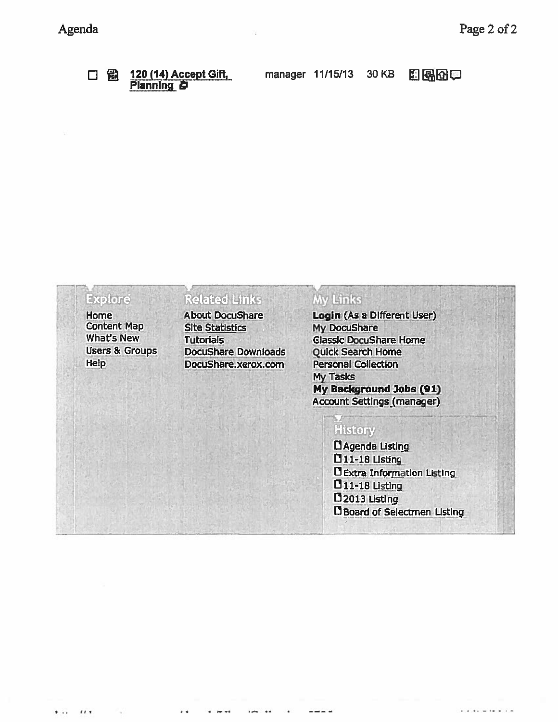# 口乱

120 (14) Accept Gift, **Planning B** 

manager 11/15/13

日界田中

30 KB

## **Explore**

 $\cdots$ 

 $1.1$ 

Home **Content Map** What's New **Users & Groups** Help

# **Related Links**

**About DocuShare Site Statistics Tutorials DocuShare Downloads** DocuShare.xerox.com

### My Links

Login (As a Different User) **My DocuShare Classic DocuShare Home Quick Search Home Personal Collection My Tasks** My Background Jobs (91) **Account Settings (manager)** 

# History

LAgenda Listing **11-18 Listing DExtra Information Listing D11-18 Listing** D<sub>2013</sub> Listing Board of Selectmen Listing